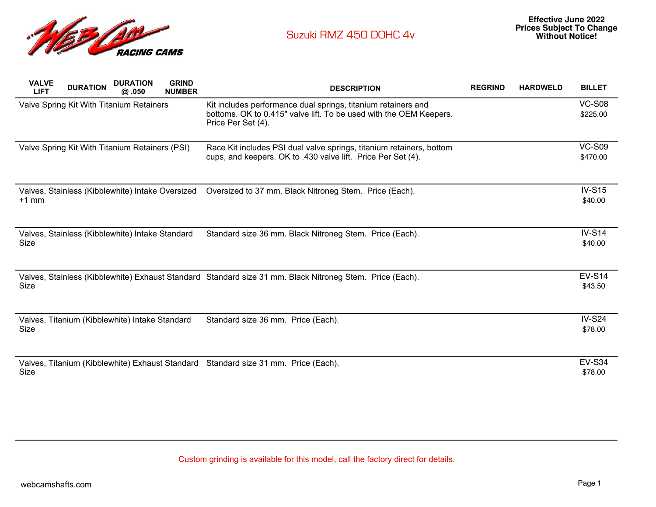

| <b>VALVE</b><br><b>LIFT</b>                    | <b>DURATION</b> | <b>DURATION</b><br>@.050                         | <b>GRIND</b><br><b>NUMBER</b> | <b>DESCRIPTION</b>                                                                                                                                        | <b>REGRIND</b> | <b>HARDWELD</b> | <b>BILLET</b>             |
|------------------------------------------------|-----------------|--------------------------------------------------|-------------------------------|-----------------------------------------------------------------------------------------------------------------------------------------------------------|----------------|-----------------|---------------------------|
|                                                |                 | Valve Spring Kit With Titanium Retainers         |                               | Kit includes performance dual springs, titanium retainers and<br>bottoms. OK to 0.415" valve lift. To be used with the OEM Keepers.<br>Price Per Set (4). |                |                 | <b>VC-S08</b><br>\$225.00 |
| Valve Spring Kit With Titanium Retainers (PSI) |                 |                                                  |                               | Race Kit includes PSI dual valve springs, titanium retainers, bottom<br>cups, and keepers. OK to .430 valve lift. Price Per Set (4).                      |                |                 | <b>VC-S09</b><br>\$470.00 |
| $+1$ mm                                        |                 | Valves, Stainless (Kibblewhite) Intake Oversized |                               | Oversized to 37 mm. Black Nitroneg Stem. Price (Each).                                                                                                    |                |                 | <b>IV-S15</b><br>\$40.00  |
| Size                                           |                 | Valves, Stainless (Kibblewhite) Intake Standard  |                               | Standard size 36 mm. Black Nitroneg Stem. Price (Each).                                                                                                   |                |                 | <b>IV-S14</b><br>\$40.00  |
| Size                                           |                 |                                                  |                               | Valves, Stainless (Kibblewhite) Exhaust Standard Standard size 31 mm. Black Nitroneg Stem. Price (Each).                                                  |                |                 | <b>EV-S14</b><br>\$43.50  |
| Size                                           |                 | Valves, Titanium (Kibblewhite) Intake Standard   |                               | Standard size 36 mm. Price (Each).                                                                                                                        |                |                 | <b>IV-S24</b><br>\$78.00  |
| Size                                           |                 |                                                  |                               | Valves, Titanium (Kibblewhite) Exhaust Standard Standard size 31 mm. Price (Each).                                                                        |                |                 | <b>EV-S34</b><br>\$78.00  |

Custom grinding is available for this model, call the factory direct for details.